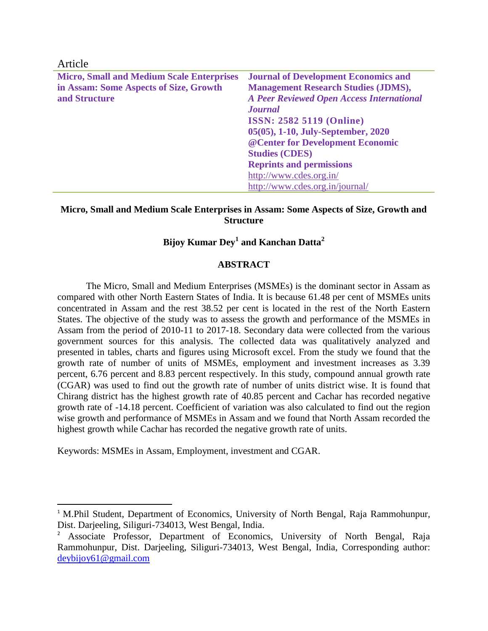| <b>Journal of Development Economics and</b>      |
|--------------------------------------------------|
| <b>Management Research Studies (JDMS),</b>       |
| <b>A Peer Reviewed Open Access International</b> |
| <b>Journal</b>                                   |
| <b>ISSN: 2582 5119 (Online)</b>                  |
| 05(05), 1-10, July-September, 2020               |
| @ Center for Development Economic                |
| <b>Studies (CDES)</b>                            |
| <b>Reprints and permissions</b>                  |
| http://www.cdes.org.in/                          |
| http://www.cdes.org.in/journal/                  |
|                                                  |

 $A_{\text{min}}$ 

 $\overline{\phantom{a}}$ 

#### **Micro, Small and Medium Scale Enterprises in Assam: Some Aspects of Size, Growth and Structure**

# **Bijoy Kumar Dey<sup>1</sup> and Kanchan Datta<sup>2</sup>**

### **ABSTRACT**

The Micro, Small and Medium Enterprises (MSMEs) is the dominant sector in Assam as compared with other North Eastern States of India. It is because 61.48 per cent of MSMEs units concentrated in Assam and the rest 38.52 per cent is located in the rest of the North Eastern States. The objective of the study was to assess the growth and performance of the MSMEs in Assam from the period of 2010-11 to 2017-18. Secondary data were collected from the various government sources for this analysis. The collected data was qualitatively analyzed and presented in tables, charts and figures using Microsoft excel. From the study we found that the growth rate of number of units of MSMEs, employment and investment increases as 3.39 percent, 6.76 percent and 8.83 percent respectively. In this study, compound annual growth rate (CGAR) was used to find out the growth rate of number of units district wise. It is found that Chirang district has the highest growth rate of 40.85 percent and Cachar has recorded negative growth rate of -14.18 percent. Coefficient of variation was also calculated to find out the region wise growth and performance of MSMEs in Assam and we found that North Assam recorded the highest growth while Cachar has recorded the negative growth rate of units.

Keywords: MSMEs in Assam, Employment, investment and CGAR.

<sup>&</sup>lt;sup>1</sup> M.Phil Student, Department of Economics, University of North Bengal, Raja Rammohunpur, Dist. Darjeeling, Siliguri-734013, West Bengal, India.

<sup>2</sup> Associate Professor, Department of Economics, University of North Bengal, Raja Rammohunpur, Dist. Darjeeling, Siliguri-734013, West Bengal, India, Corresponding author: [deybijoy61@gmail.com](mailto:deybijoy61@gmail.com)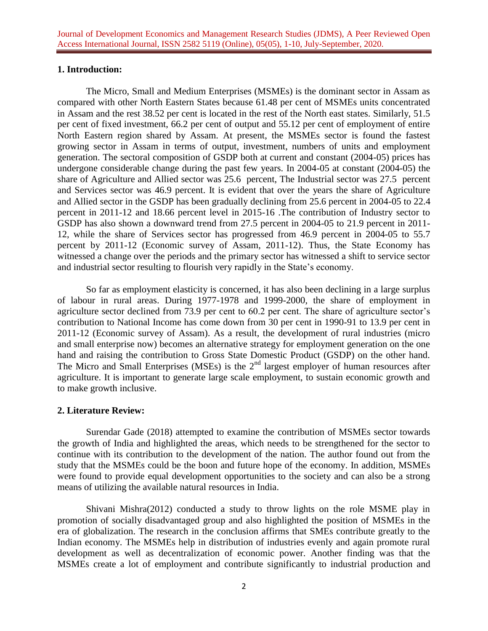### **1. Introduction:**

The Micro, Small and Medium Enterprises (MSMEs) is the dominant sector in Assam as compared with other North Eastern States because 61.48 per cent of MSMEs units concentrated in Assam and the rest 38.52 per cent is located in the rest of the North east states. Similarly, 51.5 per cent of fixed investment, 66.2 per cent of output and 55.12 per cent of employment of entire North Eastern region shared by Assam. At present, the MSMEs sector is found the fastest growing sector in Assam in terms of output, investment, numbers of units and employment generation. The sectoral composition of GSDP both at current and constant (2004-05) prices has undergone considerable change during the past few years. In 2004-05 at constant (2004-05) the share of Agriculture and Allied sector was 25.6 percent, The Industrial sector was 27.5 percent and Services sector was 46.9 percent. It is evident that over the years the share of Agriculture and Allied sector in the GSDP has been gradually declining from 25.6 percent in 2004-05 to 22.4 percent in 2011-12 and 18.66 percent level in 2015-16 .The contribution of Industry sector to GSDP has also shown a downward trend from 27.5 percent in 2004-05 to 21.9 percent in 2011- 12, while the share of Services sector has progressed from 46.9 percent in 2004-05 to 55.7 percent by 2011-12 (Economic survey of Assam, 2011-12). Thus, the State Economy has witnessed a change over the periods and the primary sector has witnessed a shift to service sector and industrial sector resulting to flourish very rapidly in the State's economy.

So far as employment elasticity is concerned, it has also been declining in a large surplus of labour in rural areas. During 1977-1978 and 1999-2000, the share of employment in agriculture sector declined from 73.9 per cent to 60.2 per cent. The share of agriculture sector's contribution to National Income has come down from 30 per cent in 1990-91 to 13.9 per cent in 2011-12 (Economic survey of Assam). As a result, the development of rural industries (micro and small enterprise now) becomes an alternative strategy for employment generation on the one hand and raising the contribution to Gross State Domestic Product (GSDP) on the other hand. The Micro and Small Enterprises (MSEs) is the  $2<sup>nd</sup>$  largest employer of human resources after agriculture. It is important to generate large scale employment, to sustain economic growth and to make growth inclusive.

#### **2. Literature Review:**

Surendar Gade (2018) attempted to examine the contribution of MSMEs sector towards the growth of India and highlighted the areas, which needs to be strengthened for the sector to continue with its contribution to the development of the nation. The author found out from the study that the MSMEs could be the boon and future hope of the economy. In addition, MSMEs were found to provide equal development opportunities to the society and can also be a strong means of utilizing the available natural resources in India.

Shivani Mishra(2012) conducted a study to throw lights on the role MSME play in promotion of socially disadvantaged group and also highlighted the position of MSMEs in the era of globalization. The research in the conclusion affirms that SMEs contribute greatly to the Indian economy. The MSMEs help in distribution of industries evenly and again promote rural development as well as decentralization of economic power. Another finding was that the MSMEs create a lot of employment and contribute significantly to industrial production and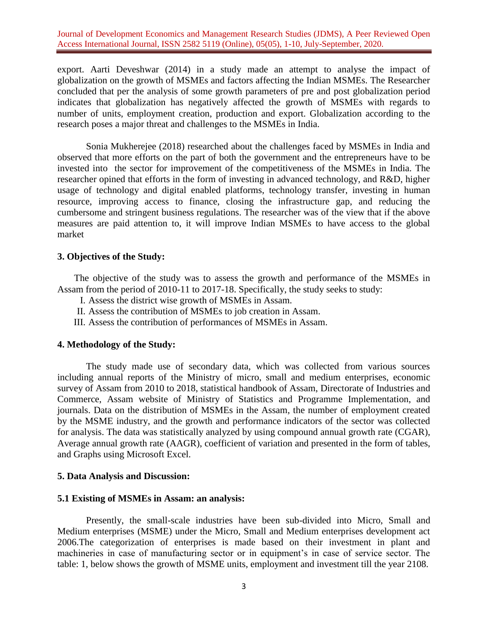export. Aarti Deveshwar (2014) in a study made an attempt to analyse the impact of globalization on the growth of MSMEs and factors affecting the Indian MSMEs. The Researcher concluded that per the analysis of some growth parameters of pre and post globalization period indicates that globalization has negatively affected the growth of MSMEs with regards to number of units, employment creation, production and export. Globalization according to the research poses a major threat and challenges to the MSMEs in India.

Sonia Mukherejee (2018) researched about the challenges faced by MSMEs in India and observed that more efforts on the part of both the government and the entrepreneurs have to be invested into the sector for improvement of the competitiveness of the MSMEs in India. The researcher opined that efforts in the form of investing in advanced technology, and R&D, higher usage of technology and digital enabled platforms, technology transfer, investing in human resource, improving access to finance, closing the infrastructure gap, and reducing the cumbersome and stringent business regulations. The researcher was of the view that if the above measures are paid attention to, it will improve Indian MSMEs to have access to the global market

#### **3. Objectives of the Study:**

The objective of the study was to assess the growth and performance of the MSMEs in Assam from the period of 2010-11 to 2017-18. Specifically, the study seeks to study:

- I. Assess the district wise growth of MSMEs in Assam.
- II. Assess the contribution of MSMEs to job creation in Assam.
- III. Assess the contribution of performances of MSMEs in Assam.

#### **4. Methodology of the Study:**

The study made use of secondary data, which was collected from various sources including annual reports of the Ministry of micro, small and medium enterprises, economic survey of Assam from 2010 to 2018, statistical handbook of Assam, Directorate of Industries and Commerce, Assam website of Ministry of Statistics and Programme Implementation, and journals. Data on the distribution of MSMEs in the Assam, the number of employment created by the MSME industry, and the growth and performance indicators of the sector was collected for analysis. The data was statistically analyzed by using compound annual growth rate (CGAR), Average annual growth rate (AAGR), coefficient of variation and presented in the form of tables, and Graphs using Microsoft Excel.

#### **5. Data Analysis and Discussion:**

#### **5.1 Existing of MSMEs in Assam: an analysis:**

Presently, the small-scale industries have been sub-divided into Micro, Small and Medium enterprises (MSME) under the Micro, Small and Medium enterprises development act 2006.The categorization of enterprises is made based on their investment in plant and machineries in case of manufacturing sector or in equipment's in case of service sector. The table: 1, below shows the growth of MSME units, employment and investment till the year 2108.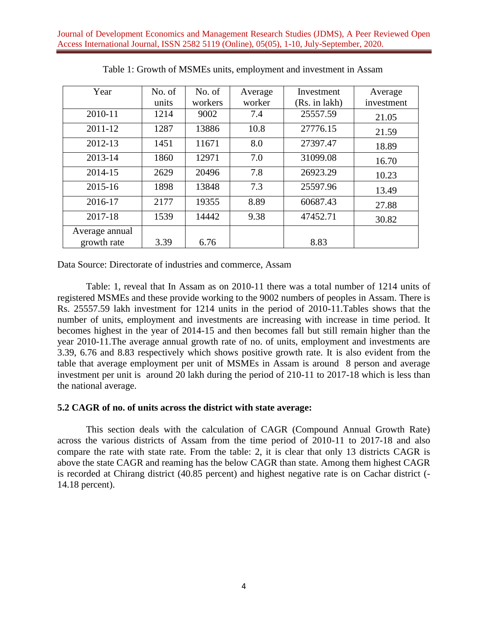| Year           | No. of | No. of  | Average | Investment    | Average    |
|----------------|--------|---------|---------|---------------|------------|
|                | units  | workers | worker  | (Rs. in lakh) | investment |
| 2010-11        | 1214   | 9002    | 7.4     | 25557.59      | 21.05      |
| 2011-12        | 1287   | 13886   | 10.8    | 27776.15      | 21.59      |
| 2012-13        | 1451   | 11671   | 8.0     | 27397.47      | 18.89      |
| 2013-14        | 1860   | 12971   | 7.0     | 31099.08      | 16.70      |
| 2014-15        | 2629   | 20496   | 7.8     | 26923.29      | 10.23      |
| 2015-16        | 1898   | 13848   | 7.3     | 25597.96      | 13.49      |
| 2016-17        | 2177   | 19355   | 8.89    | 60687.43      | 27.88      |
| 2017-18        | 1539   | 14442   | 9.38    | 47452.71      | 30.82      |
| Average annual |        |         |         |               |            |
| growth rate    | 3.39   | 6.76    |         | 8.83          |            |

Table 1: Growth of MSMEs units, employment and investment in Assam

Data Source: Directorate of industries and commerce, Assam

Table: 1, reveal that In Assam as on 2010-11 there was a total number of 1214 units of registered MSMEs and these provide working to the 9002 numbers of peoples in Assam. There is Rs. 25557.59 lakh investment for 1214 units in the period of 2010-11.Tables shows that the number of units, employment and investments are increasing with increase in time period. It becomes highest in the year of 2014-15 and then becomes fall but still remain higher than the year 2010-11.The average annual growth rate of no. of units, employment and investments are 3.39, 6.76 and 8.83 respectively which shows positive growth rate. It is also evident from the table that average employment per unit of MSMEs in Assam is around 8 person and average investment per unit is around 20 lakh during the period of 210-11 to 2017-18 which is less than the national average.

### **5.2 CAGR of no. of units across the district with state average:**

This section deals with the calculation of CAGR (Compound Annual Growth Rate) across the various districts of Assam from the time period of 2010-11 to 2017-18 and also compare the rate with state rate. From the table: 2, it is clear that only 13 districts CAGR is above the state CAGR and reaming has the below CAGR than state. Among them highest CAGR is recorded at Chirang district (40.85 percent) and highest negative rate is on Cachar district (- 14.18 percent).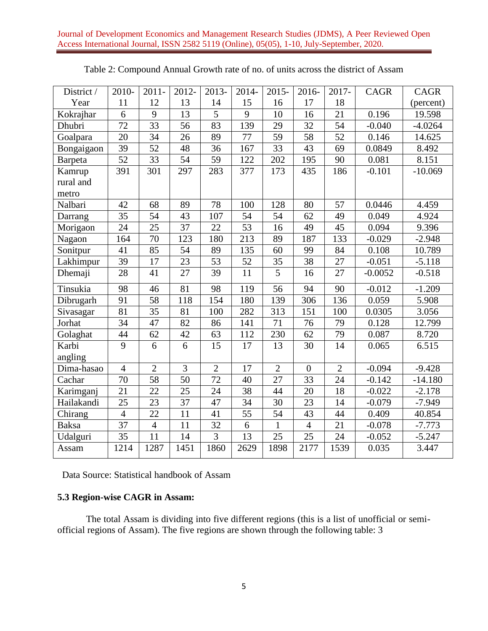| District /   | 2010-           | $2011 -$        | 2012-           | 2013-           | 2014-           | $2015 -$        | 2016-           | 2017-           | CAGR      | <b>CAGR</b> |
|--------------|-----------------|-----------------|-----------------|-----------------|-----------------|-----------------|-----------------|-----------------|-----------|-------------|
| Year         | 11              | 12              | 13              | 14              | 15              | 16              | 17              | 18              |           | (percent)   |
| Kokrajhar    | 6               | $\overline{9}$  | 13              | 5               | 9               | 10              | 16              | $\overline{21}$ | 0.196     | 19.598      |
| Dhubri       | $\overline{72}$ | $\overline{33}$ | 56              | $\overline{83}$ | 139             | 29              | $\overline{32}$ | $\overline{54}$ | $-0.040$  | $-4.0264$   |
| Goalpara     | 20              | 34              | 26              | 89              | 77              | 59              | 58              | 52              | 0.146     | 14.625      |
| Bongaigaon   | 39              | 52              | 48              | 36              | 167             | 33              | 43              | 69              | 0.0849    | 8.492       |
| Barpeta      | 52              | 33              | 54              | 59              | 122             | 202             | 195             | 90              | 0.081     | 8.151       |
| Kamrup       | 391             | 301             | 297             | 283             | 377             | 173             | 435             | 186             | $-0.101$  | $-10.069$   |
| rural and    |                 |                 |                 |                 |                 |                 |                 |                 |           |             |
| metro        |                 |                 |                 |                 |                 |                 |                 |                 |           |             |
| Nalbari      | 42              | 68              | 89              | 78              | 100             | 128             | 80              | 57              | 0.0446    | 4.459       |
| Darrang      | 35              | 54              | 43              | 107             | 54              | 54              | 62              | 49              | 0.049     | 4.924       |
| Morigaon     | 24              | 25              | 37              | 22              | 53              | 16              | 49              | 45              | 0.094     | 9.396       |
| Nagaon       | 164             | 70              | 123             | 180             | 213             | 89              | 187             | 133             | $-0.029$  | $-2.948$    |
| Sonitpur     | 41              | 85              | 54              | 89              | 135             | 60              | 99              | 84              | 0.108     | 10.789      |
| Lakhimpur    | 39              | 17              | 23              | 53              | 52              | 35              | 38              | 27              | $-0.051$  | $-5.118$    |
| Dhemaji      | 28              | 41              | 27              | 39              | $11\,$          | $\overline{5}$  | 16              | 27              | $-0.0052$ | $-0.518$    |
| Tinsukia     | 98              | 46              | 81              | 98              | 119             | 56              | 94              | 90              | $-0.012$  | $-1.209$    |
| Dibrugarh    | 91              | 58              | 118             | 154             | 180             | 139             | 306             | 136             | 0.059     | 5.908       |
| Sivasagar    | 81              | 35              | 81              | 100             | 282             | 313             | 151             | 100             | 0.0305    | 3.056       |
| Jorhat       | 34              | 47              | 82              | 86              | 141             | 71              | 76              | $\overline{79}$ | 0.128     | 12.799      |
| Golaghat     | 44              | 62              | 42              | 63              | 112             | 230             | 62              | 79              | 0.087     | 8.720       |
| Karbi        | 9               | 6               | 6               | 15              | 17              | 13              | 30              | 14              | 0.065     | 6.515       |
| angling      |                 |                 |                 |                 |                 |                 |                 |                 |           |             |
| Dima-hasao   | $\overline{4}$  | $\overline{2}$  | $\overline{3}$  | $\overline{2}$  | $\overline{17}$ | $\overline{2}$  | $\overline{0}$  | $\overline{2}$  | $-0.094$  | $-9.428$    |
| Cachar       | $\overline{70}$ | $\overline{58}$ | $\overline{50}$ | $\overline{72}$ | 40              | $\overline{27}$ | $\overline{33}$ | $\overline{24}$ | $-0.142$  | $-14.180$   |
| Karimganj    | 21              | 22              | 25              | 24              | 38              | 44              | 20              | 18              | $-0.022$  | $-2.178$    |
| Hailakandi   | 25              | 23              | 37              | 47              | 34              | 30              | 23              | 14              | $-0.079$  | $-7.949$    |
| Chirang      | $\overline{4}$  | 22              | 11              | 41              | 55              | 54              | 43              | 44              | 0.409     | 40.854      |
| <b>Baksa</b> | $\overline{37}$ | $\overline{4}$  | 11              | 32              | 6               | $\mathbf{1}$    | $\overline{4}$  | $\overline{21}$ | $-0.078$  | $-7.773$    |
| Udalguri     | 35              | 11              | 14              | 3               | 13              | 25              | 25              | 24              | $-0.052$  | $-5.247$    |
| Assam        | 1214            | 1287            | 1451            | 1860            | 2629            | 1898            | 2177            | 1539            | 0.035     | 3.447       |

Data Source: Statistical handbook of Assam

# **5.3 Region-wise CAGR in Assam:**

The total Assam is dividing into five different regions (this is a list of unofficial or semiofficial regions of Assam). The five regions are shown through the following table: 3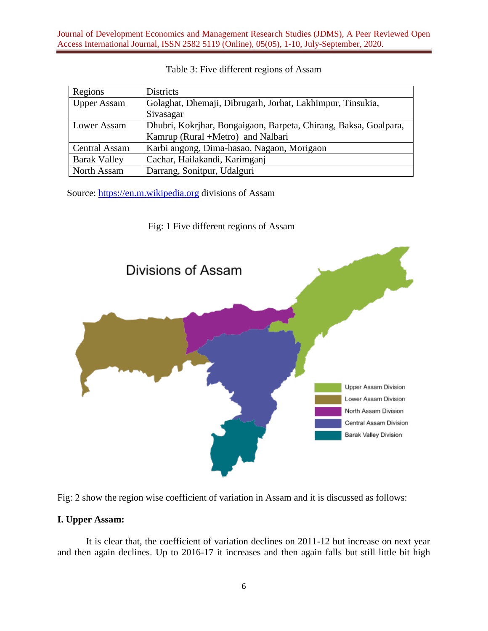| Regions              | <b>Districts</b>                                                 |  |  |  |
|----------------------|------------------------------------------------------------------|--|--|--|
| <b>Upper Assam</b>   | Golaghat, Dhemaji, Dibrugarh, Jorhat, Lakhimpur, Tinsukia,       |  |  |  |
|                      | Sivasagar                                                        |  |  |  |
| Lower Assam          | Dhubri, Kokrjhar, Bongaigaon, Barpeta, Chirang, Baksa, Goalpara, |  |  |  |
|                      | Kamrup (Rural +Metro) and Nalbari                                |  |  |  |
| <b>Central Assam</b> | Karbi angong, Dima-hasao, Nagaon, Morigaon                       |  |  |  |
| <b>Barak Valley</b>  | Cachar, Hailakandi, Karimganj                                    |  |  |  |
| North Assam          | Darrang, Sonitpur, Udalguri                                      |  |  |  |

#### Table 3: Five different regions of Assam

Source: [https://en.m.wikipedia.org](https://en.m.wikipedia.org/) divisions of Assam

### Fig: 1 Five different regions of Assam





### **I. Upper Assam:**

It is clear that, the coefficient of variation declines on 2011-12 but increase on next year and then again declines. Up to 2016-17 it increases and then again falls but still little bit high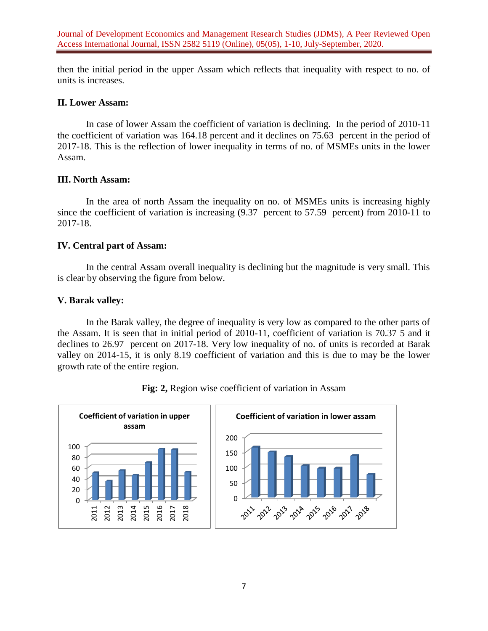Journal of Development Economics and Management Research Studies (JDMS), A Peer Reviewed Open Access International Journal, ISSN 2582 5119 (Online), 05(05), 1-10, July-September, 2020.

then the initial period in the upper Assam which reflects that inequality with respect to no. of units is increases.

### **II. Lower Assam:**

In case of lower Assam the coefficient of variation is declining. In the period of 2010-11 the coefficient of variation was 164.18 percent and it declines on 75.63 percent in the period of 2017-18. This is the reflection of lower inequality in terms of no. of MSMEs units in the lower Assam.

#### **III. North Assam:**

In the area of north Assam the inequality on no. of MSMEs units is increasing highly since the coefficient of variation is increasing  $(9.37)$  percent to 57.59 percent) from 2010-11 to 2017-18.

### **IV. Central part of Assam:**

In the central Assam overall inequality is declining but the magnitude is very small. This is clear by observing the figure from below.

#### **V. Barak valley:**

In the Barak valley, the degree of inequality is very low as compared to the other parts of the Assam. It is seen that in initial period of 2010-11, coefficient of variation is 70.37 5 and it declines to 26.97 percent on 2017-18. Very low inequality of no. of units is recorded at Barak valley on 2014-15, it is only 8.19 coefficient of variation and this is due to may be the lower growth rate of the entire region.



**Fig: 2,** Region wise coefficient of variation in Assam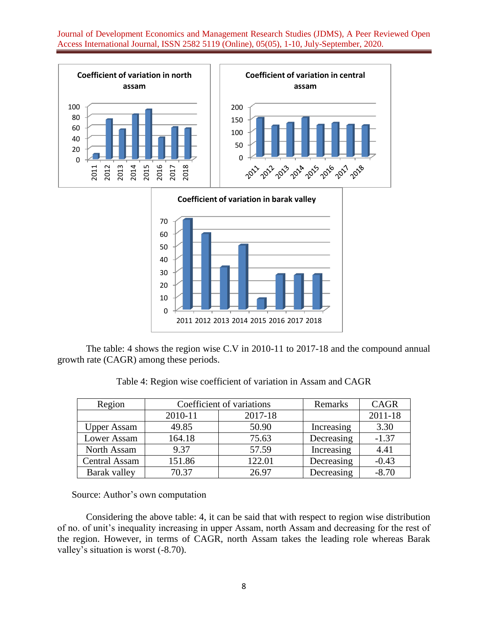Journal of Development Economics and Management Research Studies (JDMS), A Peer Reviewed Open Access International Journal, ISSN 2582 5119 (Online), 05(05), 1-10, July-September, 2020.





The table: 4 shows the region wise C.V in 2010-11 to 2017-18 and the compound annual growth rate (CAGR) among these periods.

Table 4: Region wise coefficient of variation in Assam and CAGR

| Region               |         | Coefficient of variations | Remarks    | <b>CAGR</b> |
|----------------------|---------|---------------------------|------------|-------------|
|                      | 2010-11 | 2017-18                   |            | 2011-18     |
| <b>Upper Assam</b>   | 49.85   | 50.90                     | Increasing | 3.30        |
| Lower Assam          | 164.18  | 75.63                     | Decreasing | $-1.37$     |
| North Assam          | 9.37    | 57.59                     | Increasing | 4.41        |
| <b>Central Assam</b> | 151.86  | 122.01                    | Decreasing | $-0.43$     |
| Barak valley         | 70.37   | 26.97                     | Decreasing | $-8.70$     |

Source: Author's own computation

Considering the above table: 4, it can be said that with respect to region wise distribution of no. of unit's inequality increasing in upper Assam, north Assam and decreasing for the rest of the region. However, in terms of CAGR, north Assam takes the leading role whereas Barak valley's situation is worst (-8.70).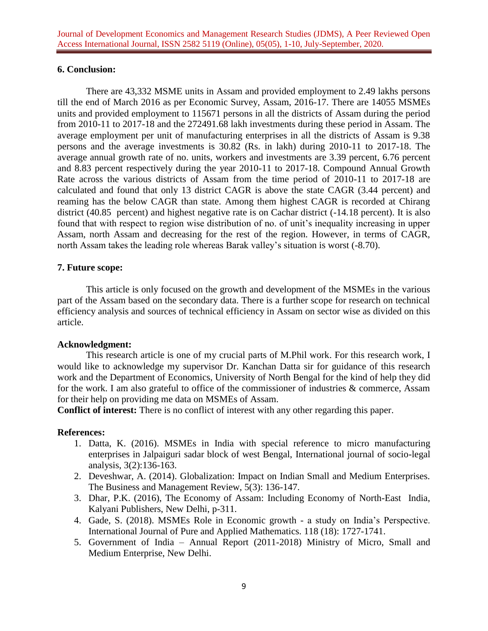# **6. Conclusion:**

There are 43,332 MSME units in Assam and provided employment to 2.49 lakhs persons till the end of March 2016 as per Economic Survey, Assam, 2016-17. There are 14055 MSMEs units and provided employment to 115671 persons in all the districts of Assam during the period from 2010-11 to 2017-18 and the 272491.68 lakh investments during these period in Assam. The average employment per unit of manufacturing enterprises in all the districts of Assam is 9.38 persons and the average investments is 30.82 (Rs. in lakh) during 2010-11 to 2017-18. The average annual growth rate of no. units, workers and investments are 3.39 percent, 6.76 percent and 8.83 percent respectively during the year 2010-11 to 2017-18. Compound Annual Growth Rate across the various districts of Assam from the time period of 2010-11 to 2017-18 are calculated and found that only 13 district CAGR is above the state CAGR (3.44 percent) and reaming has the below CAGR than state. Among them highest CAGR is recorded at Chirang district (40.85 percent) and highest negative rate is on Cachar district (-14.18 percent). It is also found that with respect to region wise distribution of no. of unit's inequality increasing in upper Assam, north Assam and decreasing for the rest of the region. However, in terms of CAGR, north Assam takes the leading role whereas Barak valley's situation is worst (-8.70).

# **7. Future scope:**

This article is only focused on the growth and development of the MSMEs in the various part of the Assam based on the secondary data. There is a further scope for research on technical efficiency analysis and sources of technical efficiency in Assam on sector wise as divided on this article.

### **Acknowledgment:**

This research article is one of my crucial parts of M.Phil work. For this research work, I would like to acknowledge my supervisor Dr. Kanchan Datta sir for guidance of this research work and the Department of Economics, University of North Bengal for the kind of help they did for the work. I am also grateful to office of the commissioner of industries & commerce, Assam for their help on providing me data on MSMEs of Assam.

**Conflict of interest:** There is no conflict of interest with any other regarding this paper.

# **References:**

- 1. Datta, K. (2016). MSMEs in India with special reference to micro manufacturing enterprises in Jalpaiguri sadar block of west Bengal, International journal of socio-legal analysis, 3(2):136-163.
- 2. Deveshwar, A. (2014). Globalization: Impact on Indian Small and Medium Enterprises. The Business and Management Review, 5(3): 136-147.
- 3. Dhar, P.K. (2016), The Economy of Assam: Including Economy of North-East India, Kalyani Publishers, New Delhi, p-311.
- 4. Gade, S. (2018). MSMEs Role in Economic growth a study on India's Perspective. International Journal of Pure and Applied Mathematics. 118 (18): 1727-1741.
- 5. Government of India Annual Report (2011-2018) Ministry of Micro, Small and Medium Enterprise, New Delhi.